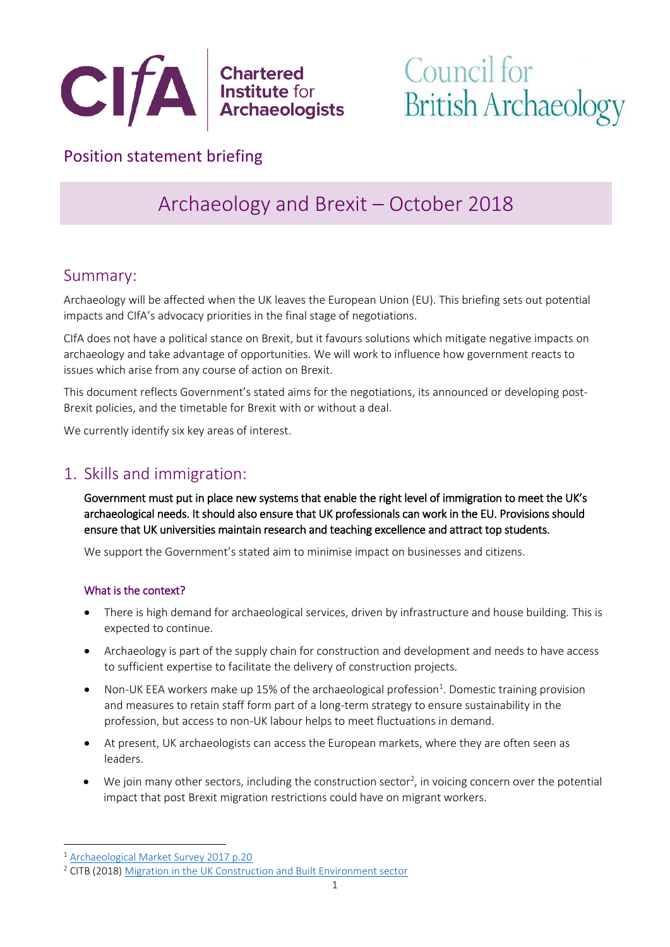

# Council for **British Archaeology**

## Position statement briefing

## Archaeology and Brexit – October 2018

## Summary:

Archaeology will be affected when the UK leaves the European Union (EU). This briefing sets out potential impacts and CIfA's advocacy priorities in the final stage of negotiations.

CIfA does not have a political stance on Brexit, but it favours solutions which mitigate negative impacts on archaeology and take advantage of opportunities. We will work to influence how government reacts to issues which arise from any course of action on Brexit.

This document reflects Government's stated aims for the negotiations, its announced or developing post-Brexit policies, and the timetable for Brexit with or without a deal.

We currently identify six key areas of interest.

## 1. Skills and immigration:

Government must put in place new systems that enable the right level of immigration to meet the UK's archaeological needs. It should also ensure that UK professionals can work in the EU. Provisions should ensure that UK universities maintain research and teaching excellence and attract top students.

We support the Government's stated aim to minimise impact on businesses and citizens.

## What is the context?

- There is high demand for archaeological services, driven by infrastructure and house building. This is expected to continue.
- Archaeology is part of the supply chain for construction and development and needs to have access to sufficient expertise to facilitate the delivery of construction projects.
- Non-UK EEA workers make up 15% of the archaeological profession<sup>1</sup>. Domestic training provision and measures to retain staff form part of a long-term strategy to ensure sustainability in the profession, but access to non-UK labour helps to meet fluctuations in demand.
- At present, UK archaeologists can access the European markets, where they are often seen as leaders.
- $\bullet$  We join many other sectors, including the construction sector<sup>2</sup>, in voicing concern over the potential impact that post Brexit migration restrictions could have on migrant workers.

<u>.</u>

<sup>1</sup> [Archaeological Market Survey 2017 p.20](https://www.archaeologists.net/sites/default/files/Archaeological%20Market%20Survey%202016-17%20101117.pdf)

<sup>&</sup>lt;sup>2</sup> CITB (2018) [Migration in the UK Construction and Built Environment sector](https://www.citb.co.uk/Documents/research/CITB_migration_green_paper_July_2018.pdf)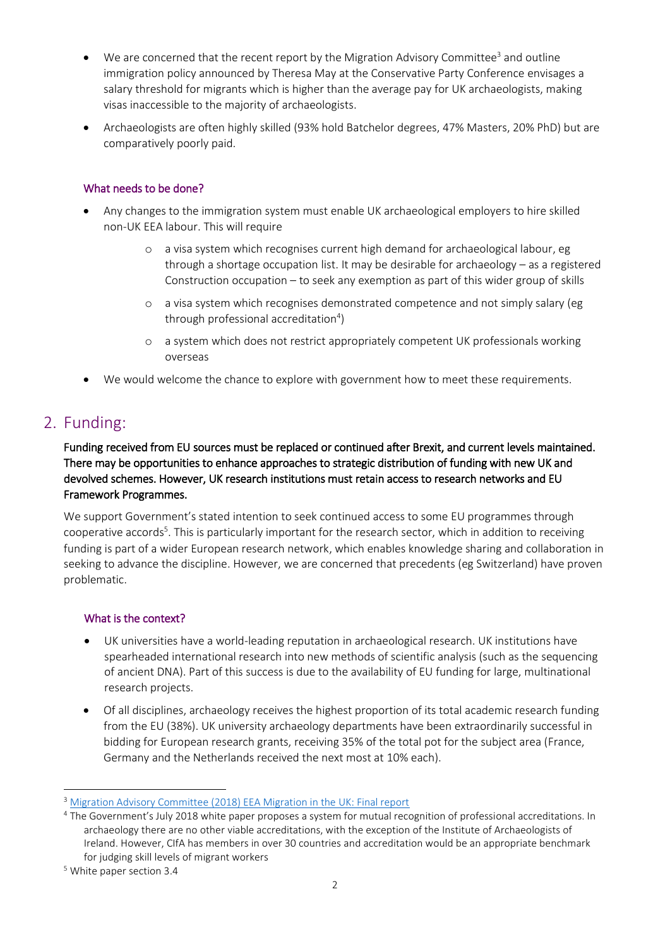- We are concerned that the recent report by the Migration Advisory Committee<sup>3</sup> and outline immigration policy announced by Theresa May at the Conservative Party Conference envisages a salary threshold for migrants which is higher than the average pay for UK archaeologists, making visas inaccessible to the majority of archaeologists.
- Archaeologists are often highly skilled (93% hold Batchelor degrees, 47% Masters, 20% PhD) but are comparatively poorly paid.

### What needs to be done?

- Any changes to the immigration system must enable UK archaeological employers to hire skilled non-UK EEA labour. This will require
	- o a visa system which recognises current high demand for archaeological labour, eg through a shortage occupation list. It may be desirable for archaeology – as a registered Construction occupation – to seek any exemption as part of this wider group of skills
	- o a visa system which recognises demonstrated competence and not simply salary (eg through professional accreditation<sup>4</sup>)
	- o a system which does not restrict appropriately competent UK professionals working overseas
- We would welcome the chance to explore with government how to meet these requirements.

## 2. Funding:

Funding received from EU sources must be replaced or continued after Brexit, and current levels maintained. There may be opportunities to enhance approaches to strategic distribution of funding with new UK and devolved schemes. However, UK research institutions must retain access to research networks and EU Framework Programmes.

We support Government's stated intention to seek continued access to some EU programmes through cooperative accords<sup>5</sup>. This is particularly important for the research sector, which in addition to receiving funding is part of a wider European research network, which enables knowledge sharing and collaboration in seeking to advance the discipline. However, we are concerned that precedents (eg Switzerland) have proven problematic.

#### What is the context?

- UK universities have a world-leading reputation in archaeological research. UK institutions have spearheaded international research into new methods of scientific analysis (such as the sequencing of ancient DNA). Part of this success is due to the availability of EU funding for large, multinational research projects.
- Of all disciplines, archaeology receives the highest proportion of its total academic research funding from the EU (38%). UK university archaeology departments have been extraordinarily successful in bidding for European research grants, receiving 35% of the total pot for the subject area (France, Germany and the Netherlands received the next most at 10% each).

<u>.</u>

<sup>&</sup>lt;sup>3</sup> [Migration Advisory Committee \(2018\) EEA Migration in the UK: Final report](https://www.gov.uk/government/publications/migration-advisory-committee-mac-report-eea-migration)

<sup>4</sup> The Government's July 2018 white paper proposes a system for mutual recognition of professional accreditations. In archaeology there are no other viable accreditations, with the exception of the Institute of Archaeologists of Ireland. However, CIfA has members in over 30 countries and accreditation would be an appropriate benchmark for judging skill levels of migrant workers

<sup>5</sup> White paper section 3.4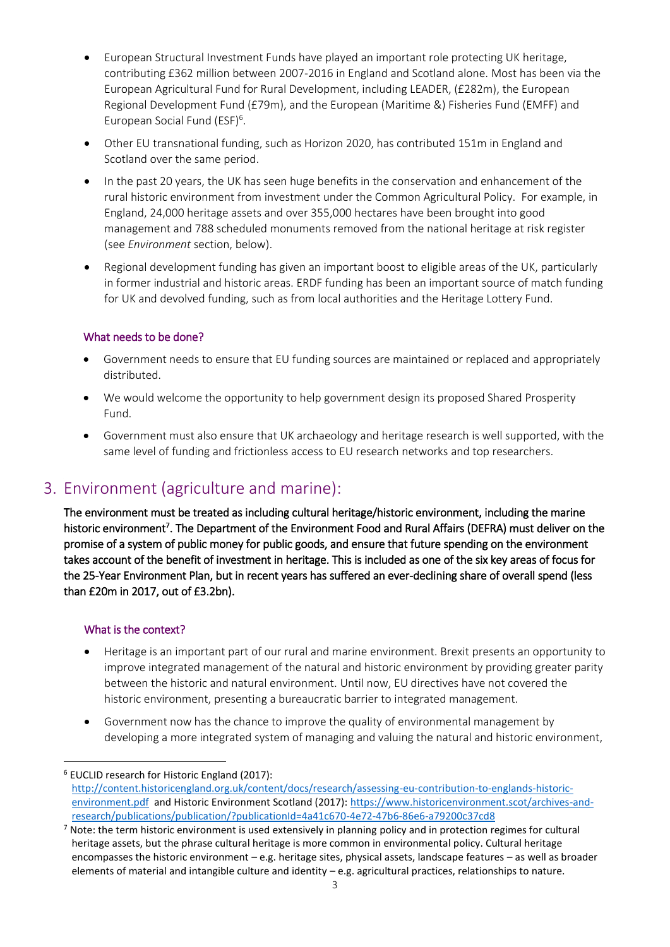- European Structural Investment Funds have played an important role protecting UK heritage, contributing £362 million between 2007-2016 in England and Scotland alone. Most has been via the European Agricultural Fund for Rural Development, including LEADER, (£282m), the European Regional Development Fund (£79m), and the European (Maritime &) Fisheries Fund (EMFF) and European Social Fund (ESF)<sup>6</sup>.
- Other EU transnational funding, such as Horizon 2020, has contributed 151m in England and Scotland over the same period.
- In the past 20 years, the UK has seen huge benefits in the conservation and enhancement of the rural historic environment from investment under the Common Agricultural Policy. For example, in England, 24,000 heritage assets and over 355,000 hectares have been brought into good management and 788 scheduled monuments removed from the national heritage at risk register (see *Environment* section, below).
- Regional development funding has given an important boost to eligible areas of the UK, particularly in former industrial and historic areas. ERDF funding has been an important source of match funding for UK and devolved funding, such as from local authorities and the Heritage Lottery Fund.

## What needs to be done?

- Government needs to ensure that EU funding sources are maintained or replaced and appropriately distributed.
- We would welcome the opportunity to help government design its proposed Shared Prosperity Fund.
- Government must also ensure that UK archaeology and heritage research is well supported, with the same level of funding and frictionless access to EU research networks and top researchers.

## 3. Environment (agriculture and marine):

The environment must be treated as including cultural heritage/historic environment, including the marine historic environment<sup>7</sup>. The Department of the Environment Food and Rural Affairs (DEFRA) must deliver on the promise of a system of public money for public goods, and ensure that future spending on the environment takes account of the benefit of investment in heritage. This is included as one of the six key areas of focus for the 25-Year Environment Plan, but in recent years has suffered an ever-declining share of overall spend (less than £20m in 2017, out of £3.2bn).

#### What is the context?

<u>.</u>

- Heritage is an important part of our rural and marine environment. Brexit presents an opportunity to improve integrated management of the natural and historic environment by providing greater parity between the historic and natural environment. Until now, EU directives have not covered the historic environment, presenting a bureaucratic barrier to integrated management.
- Government now has the chance to improve the quality of environmental management by developing a more integrated system of managing and valuing the natural and historic environment,

<sup>6</sup> EUCLID research for Historic England (2017): [http://content.historicengland.org.uk/content/docs/research/assessing-eu-contribution-to-englands-historic](http://content.historicengland.org.uk/content/docs/research/assessing-eu-contribution-to-englands-historic-environment.pdf)[environment.pdf](http://content.historicengland.org.uk/content/docs/research/assessing-eu-contribution-to-englands-historic-environment.pdf) and Historic Environment Scotland (2017): [https://www.historicenvironment.scot/archives-and](https://www.historicenvironment.scot/archives-and-research/publications/publication/?publicationId=4a41c670-4e72-47b6-86e6-a79200c37cd8)[research/publications/publication/?publicationId=4a41c670-4e72-47b6-86e6-a79200c37cd8](https://www.historicenvironment.scot/archives-and-research/publications/publication/?publicationId=4a41c670-4e72-47b6-86e6-a79200c37cd8)

<sup>&</sup>lt;sup>7</sup> Note: the term historic environment is used extensively in planning policy and in protection regimes for cultural heritage assets, but the phrase cultural heritage is more common in environmental policy. Cultural heritage encompasses the historic environment – e.g. heritage sites, physical assets, landscape features – as well as broader elements of material and intangible culture and identity – e.g. agricultural practices, relationships to nature.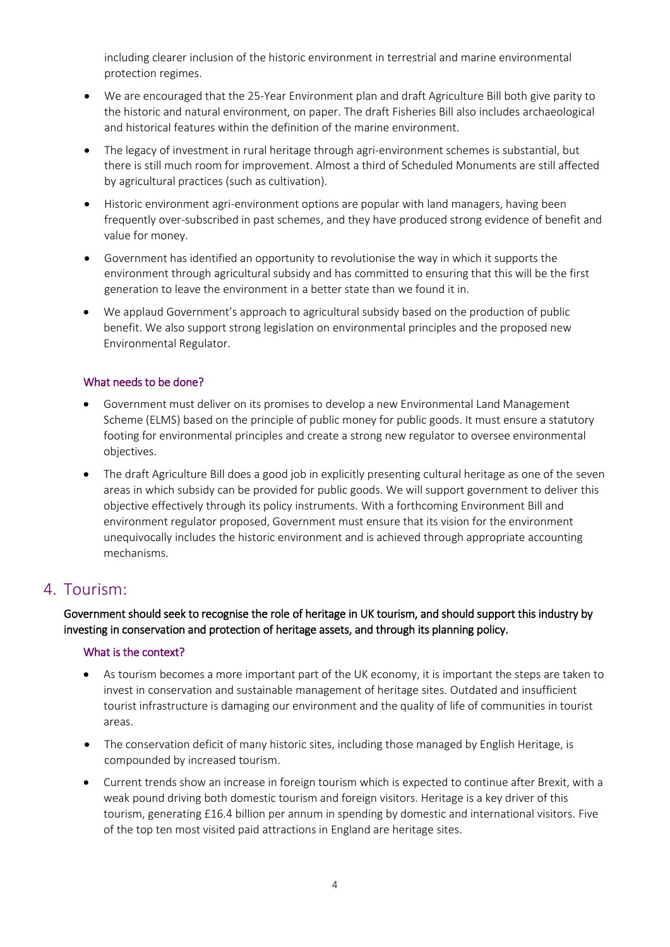including clearer inclusion of the historic environment in terrestrial and marine environmental protection regimes.

- We are encouraged that the 25-Year Environment plan and draft Agriculture Bill both give parity to the historic and natural environment, on paper. The draft Fisheries Bill also includes archaeological and historical features within the definition of the marine environment.
- The legacy of investment in rural heritage through agri-environment schemes is substantial, but there is still much room for improvement. Almost a third of Scheduled Monuments are still affected by agricultural practices (such as cultivation).
- Historic environment agri-environment options are popular with land managers, having been frequently over-subscribed in past schemes, and they have produced strong evidence of benefit and value for money.
- Government has identified an opportunity to revolutionise the way in which it supports the environment through agricultural subsidy and has committed to ensuring that this will be the first generation to leave the environment in a better state than we found it in.
- We applaud Government's approach to agricultural subsidy based on the production of public benefit. We also support strong legislation on environmental principles and the proposed new Environmental Regulator.

#### What needs to be done?

- Government must deliver on its promises to develop a new Environmental Land Management Scheme (ELMS) based on the principle of public money for public goods. It must ensure a statutory footing for environmental principles and create a strong new regulator to oversee environmental objectives.
- The draft Agriculture Bill does a good job in explicitly presenting cultural heritage as one of the seven areas in which subsidy can be provided for public goods. We will support government to deliver this objective effectively through its policy instruments. With a forthcoming Environment Bill and environment regulator proposed, Government must ensure that its vision for the environment unequivocally includes the historic environment and is achieved through appropriate accounting mechanisms.

## 4. Tourism:

Government should seek to recognise the role of heritage in UK tourism, and should support this industry by investing in conservation and protection of heritage assets, and through its planning policy.

#### What is the context?

- As tourism becomes a more important part of the UK economy, it is important the steps are taken to invest in conservation and sustainable management of heritage sites. Outdated and insufficient tourist infrastructure is damaging our environment and the quality of life of communities in tourist areas.
- The conservation deficit of many historic sites, including those managed by English Heritage, is compounded by increased tourism.
- Current trends show an increase in foreign tourism which is expected to continue after Brexit, with a weak pound driving both domestic tourism and foreign visitors. Heritage is a key driver of this tourism, generating £16.4 billion per annum in spending by domestic and international visitors. Five of the top ten most visited paid attractions in England are heritage sites.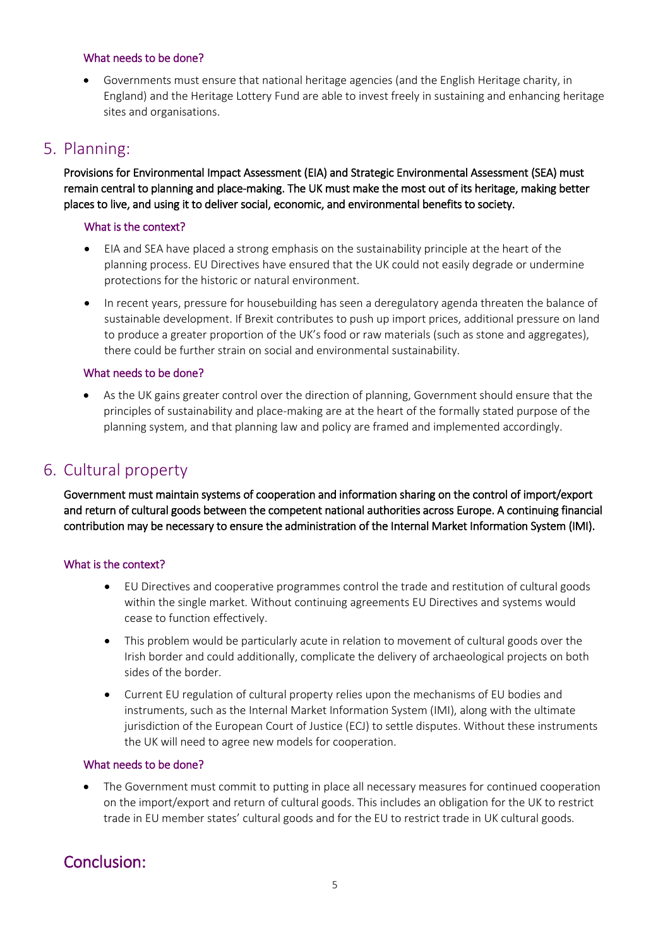#### What needs to be done?

• Governments must ensure that national heritage agencies (and the English Heritage charity, in England) and the Heritage Lottery Fund are able to invest freely in sustaining and enhancing heritage sites and organisations.

## 5. Planning:

Provisions for Environmental Impact Assessment (EIA) and Strategic Environmental Assessment (SEA) must remain central to planning and place-making. The UK must make the most out of its heritage, making better places to live, and using it to deliver social, economic, and environmental benefits to society.

#### What is the context?

- EIA and SEA have placed a strong emphasis on the sustainability principle at the heart of the planning process. EU Directives have ensured that the UK could not easily degrade or undermine protections for the historic or natural environment.
- In recent years, pressure for housebuilding has seen a deregulatory agenda threaten the balance of sustainable development. If Brexit contributes to push up import prices, additional pressure on land to produce a greater proportion of the UK's food or raw materials (such as stone and aggregates), there could be further strain on social and environmental sustainability.

#### What needs to be done?

As the UK gains greater control over the direction of planning, Government should ensure that the principles of sustainability and place-making are at the heart of the formally stated purpose of the planning system, and that planning law and policy are framed and implemented accordingly.

## 6. Cultural property

Government must maintain systems of cooperation and information sharing on the control of import/export and return of cultural goods between the competent national authorities across Europe. A continuing financial contribution may be necessary to ensure the administration of the Internal Market Information System (IMI).

#### What is the context?

- EU Directives and cooperative programmes control the trade and restitution of cultural goods within the single market. Without continuing agreements EU Directives and systems would cease to function effectively.
- This problem would be particularly acute in relation to movement of cultural goods over the Irish border and could additionally, complicate the delivery of archaeological projects on both sides of the border.
- Current EU regulation of cultural property relies upon the mechanisms of EU bodies and instruments, such as the Internal Market Information System (IMI), along with the ultimate jurisdiction of the European Court of Justice (ECJ) to settle disputes. Without these instruments the UK will need to agree new models for cooperation.

#### What needs to be done?

• The Government must commit to putting in place all necessary measures for continued cooperation on the import/export and return of cultural goods. This includes an obligation for the UK to restrict trade in EU member states' cultural goods and for the EU to restrict trade in UK cultural goods.

## Conclusion: